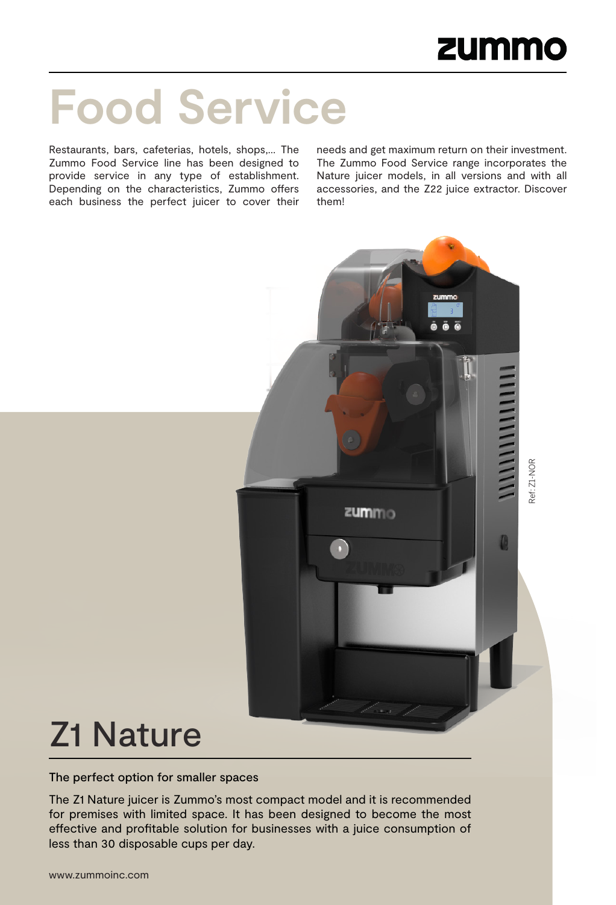Ref: Z1-NOR

Pef: Z1-NOR

D

# **Food Service**

Restaurants, bars, cafeterias, hotels, shops,… The Zummo Food Service line has been designed to provide service in any type of establishment. Depending on the characteristics, Zummo offers each business the perfect juicer to cover their

needs and get maximum return on their investment. The Zummo Food Service range incorporates the Nature juicer models, in all versions and with all accessories, and the Z22 juice extractor. Discover them!

zummo



The perfect option for smaller spaces

The Z1 Nature juicer is Zummo's most compact model and it is recommended for premises with limited space. It has been designed to become the most effective and profitable solution for businesses with a juice consumption of less than 30 disposable cups per day.